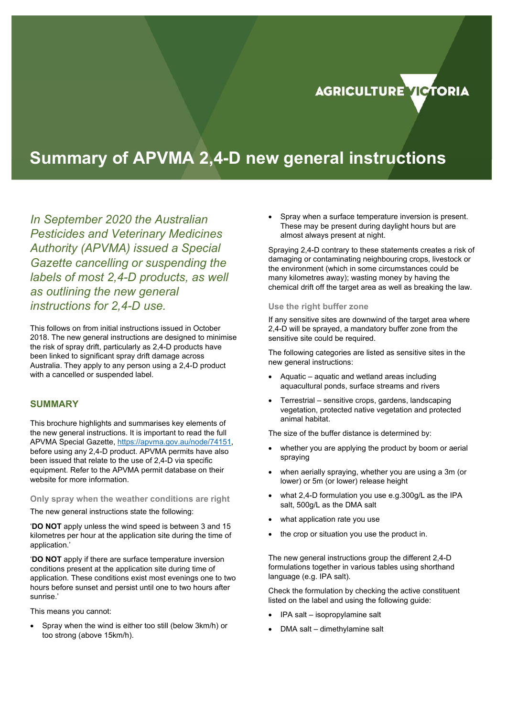

# **Summary of APVMA 2,4-D new general instructions**

*In September 2020 the Australian Pesticides and Veterinary Medicines Authority (APVMA) issued a Special Gazette cancelling or suspending the labels of most 2,4-D products, as well as outlining the new general instructions for 2,4-D use.* 

This follows on from initial instructions issued in October 2018. The new general instructions are designed to minimise the risk of spray drift, particularly as 2,4-D products have been linked to significant spray drift damage across Australia. They apply to any person using a 2,4-D product with a cancelled or suspended label.

# **SUMMARY**

This brochure highlights and summarises key elements of the new general instructions. It is important to read the full APVMA Special Gazette, https://apvma.gov.au/node/74151, before using any 2,4-D product. APVMA permits have also been issued that relate to the use of 2,4-D via specific equipment. Refer to the APVMA permit database on their website for more information.

### **Only spray when the weather conditions are right**

The new general instructions state the following:

'**DO NOT** apply unless the wind speed is between 3 and 15 kilometres per hour at the application site during the time of application.'

'**DO NOT** apply if there are surface temperature inversion conditions present at the application site during time of application. These conditions exist most evenings one to two hours before sunset and persist until one to two hours after sunrise.'

This means you cannot:

 Spray when the wind is either too still (below 3km/h) or too strong (above 15km/h).

 Spray when a surface temperature inversion is present. These may be present during daylight hours but are almost always present at night.

Spraying 2,4-D contrary to these statements creates a risk of damaging or contaminating neighbouring crops, livestock or the environment (which in some circumstances could be many kilometres away); wasting money by having the chemical drift off the target area as well as breaking the law.

#### **Use the right buffer zone**

If any sensitive sites are downwind of the target area where 2,4-D will be sprayed, a mandatory buffer zone from the sensitive site could be required.

The following categories are listed as sensitive sites in the new general instructions:

- Aquatic aquatic and wetland areas including aquacultural ponds, surface streams and rivers
- Terrestrial sensitive crops, gardens, landscaping vegetation, protected native vegetation and protected animal habitat.

The size of the buffer distance is determined by:

- whether you are applying the product by boom or aerial spraying
- when aerially spraying, whether you are using a 3m (or lower) or 5m (or lower) release height
- what 2,4-D formulation you use e.g.300g/L as the IPA salt, 500g/L as the DMA salt
- what application rate you use
- the crop or situation you use the product in.

The new general instructions group the different 2,4-D formulations together in various tables using shorthand language (e.g. IPA salt).

Check the formulation by checking the active constituent listed on the label and using the following guide:

- IPA salt isopropylamine salt
- DMA salt dimethylamine salt